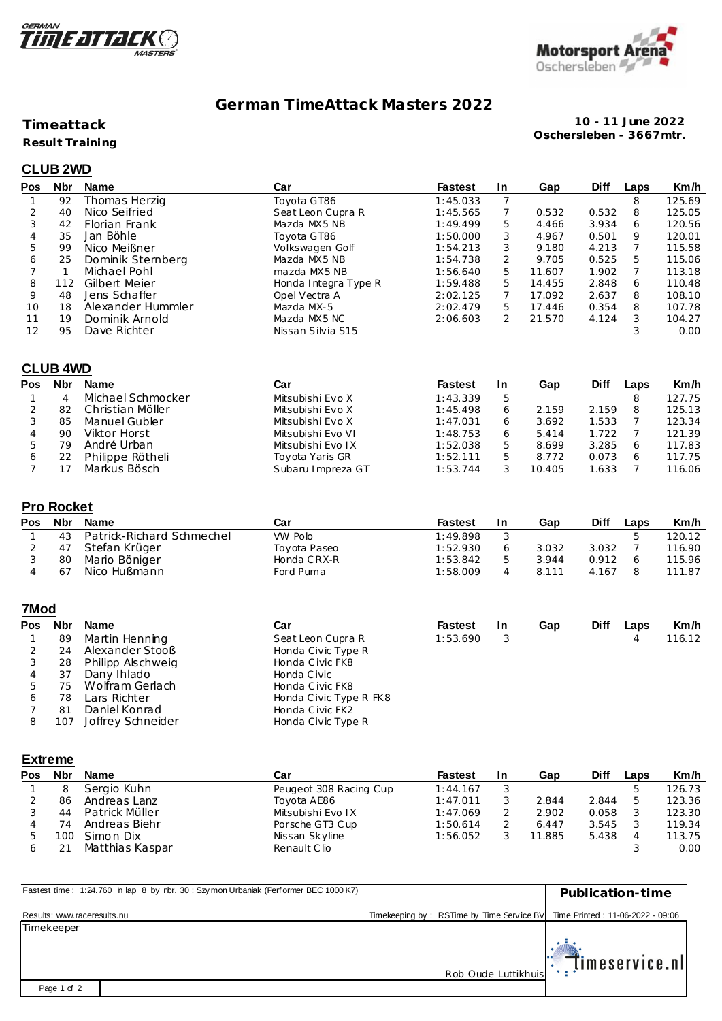



# **German TimeAttack Masters 2022**

### **Timeattack**

**Result Training**

**10 - 11 June 2022 Oschersleben - 3667mtr.**

# **CLUB 2WD**

| Pos | <b>Nbr</b> | Name              | Car                  | <b>Fastest</b> | <b>In</b>     | Gap    | <b>Diff</b> | Laps | Km/h   |
|-----|------------|-------------------|----------------------|----------------|---------------|--------|-------------|------|--------|
|     | 92         | Thomas Herzig     | Toyota GT86          | 1:45.033       |               |        |             | 8    | 125.69 |
|     | 40         | Nico Seifried     | Seat Leon Cupra R    | 1:45.565       |               | 0.532  | 0.532       | 8    | 125.05 |
| 3   | 42         | Florian Frank     | Mazda MX5 NB         | 1:49.499       | 5.            | 4.466  | 3.934       | 6    | 120.56 |
| 4   | 35         | Jan Böhle         | Toyota GT86          | 1:50.000       | 3             | 4.967  | 0.501       | 9    | 120.01 |
| 5   | 99         | Nico Meißner      | Volkswagen Golf      | 1:54.213       | 3             | 9.180  | 4.213       |      | 115.58 |
| 6   | 25         | Dominik Stemberg  | Mazda MX5 NB         | 1:54.738       | $\mathcal{P}$ | 9.705  | 0.525       | 5    | 115.06 |
|     |            | Michael Pohl      | mazda MX5 NB         | 1:56.640       | 5.            | 11.607 | 1.902       |      | 113.18 |
| 8   | 112        | Gilbert Meier     | Honda Integra Type R | 1:59.488       | 5.            | 14.455 | 2.848       | 6    | 110.48 |
| 9   | 48         | Jens Schaffer     | Opel Vectra A        | 2:02.125       |               | 17.092 | 2.637       | 8    | 108.10 |
| 10  | 18         | Alexander Hummler | Mazda MX-5           | 2:02.479       | 5.            | 17.446 | 0.354       | 8    | 107.78 |
| 11  | 19         | Dominik Arnold    | Mazda MX5 NC         | 2:06.603       |               | 21.570 | 4.124       | 3    | 104.27 |
| 12  | 95         | Dave Richter      | Nissan Silvia S15    |                |               |        |             |      | 0.00   |

### **CLUB 4WD**

| Pos | Nbr | <b>Name</b>       | Car               | <b>Fastest</b> | -In | Gap    | Diff  | Laps | Km/h   |
|-----|-----|-------------------|-------------------|----------------|-----|--------|-------|------|--------|
|     | 4   | Michael Schmocker | Mitsubishi Evo X  | 1:43.339       |     |        |       |      | 127.75 |
|     | 82  | Christian Möller  | Mitsubishi Evo X  | 1:45.498       |     | 2.159  | 2.159 |      | 125.13 |
|     | 85  | Manuel Gubler     | Mitsubishi Evo X  | 1:47.031       |     | 3.692  | 1.533 |      | 123.34 |
|     | 90  | Viktor Horst      | Mitsubishi Evo VI | 1:48.753       |     | 5.414  | 1.722 |      | 121.39 |
|     | 79  | André Urban       | Mitsubishi Evo IX | 1:52.038       |     | 8.699  | 3.285 |      | 117.83 |
|     |     | Philippe Rötheli  | Toyota Yaris GR   | 1:52.111       |     | 8.772  | 0.073 |      | 117.75 |
|     |     | Markus Bösch      | Subaru Impreza GT | 1:53.744       |     | 10.405 | .633  |      | 116.06 |

## **Pro Rocket**

| Pos | <b>Nbr</b> | <b>Name</b>               | Car          | <b>Fastest</b> | -In | Gap     | Diff  | Laps | Km/h   |
|-----|------------|---------------------------|--------------|----------------|-----|---------|-------|------|--------|
|     | 43         | Patrick-Richard Schmechel | VW Polo      | 1:49.898       |     |         |       |      | 120.12 |
|     |            | Stefan Krüger             | Toyota Paseo | 1:52.930       |     | 3.032   | 3.032 |      | 116.90 |
|     | 80         | Mario Böniger             | Honda CRX-R  | 1:53.842       |     | 3.944   | 0.912 |      | 115.96 |
|     | -67        | Nico Hußmann              | Ford Puma    | 1:58.009       |     | 8 1 1 1 | 4.167 |      | 111.87 |

## **7Mod**

| <b>Pos</b> | <b>Nbr</b> | Name              | Car                    | <b>Fastest</b> | <b>In</b> | Gap | <b>Diff</b> | Laps | Km/h   |
|------------|------------|-------------------|------------------------|----------------|-----------|-----|-------------|------|--------|
|            | 89         | Martin Henning    | Seat Leon Cupra R      | 1:53.690       |           |     |             |      | 116.12 |
|            | 24         | Alexander Stooß   | Honda Civic Type R     |                |           |     |             |      |        |
|            | 28         | Philipp Alschweig | Honda Civic FK8        |                |           |     |             |      |        |
| 4          | 37         | Dany Ihlado       | Honda Civic            |                |           |     |             |      |        |
|            | 75         | Wolfram Gerlach   | Honda Civic FK8        |                |           |     |             |      |        |
| 6          | 78         | Lars Richter      | Honda Civic Type R FK8 |                |           |     |             |      |        |
|            | 81         | Daniel Konrad     | Honda Civic FK2        |                |           |     |             |      |        |
|            | 107        | Joffrey Schneider | Honda Civic Type R     |                |           |     |             |      |        |

#### **Extreme**

| Pos | <b>Nbr</b> | <b>Name</b>     | Car                    | <b>Fastest</b> | <b>In</b> | Gap    | <b>Diff</b> | Laps | Km/h   |
|-----|------------|-----------------|------------------------|----------------|-----------|--------|-------------|------|--------|
|     |            | Sergio Kuhn     | Peugeot 308 Racing Cup | 1:44.167       |           |        |             |      | 126.73 |
|     | 86         | Andreas Lanz    | Toyota AE86            | 1:47.011       |           | 2.844  | 2.844       |      | 123.36 |
|     | 44         | Patrick Müller  | Mitsubishi Evo IX      | 1:47.069       |           | 2.902  | 0.058       |      | 123.30 |
|     | 74         | Andreas Biehr   | Porsche GT3 Cup        | 1:50.614       |           | 6.447  | 3.545       |      | 119.34 |
|     | 1 O C      | Simon Dix       | Nissan Skyline         | 1:56.052       |           | 11.885 | 5.438       |      | 113.75 |
|     |            | Matthias Kaspar | Renault Clio           |                |           |        |             |      | 0.00   |

| Fastest time: 1:24.760 in lap 8 by nbr. 30: Szy mon Urbaniak (Performer BEC 1000 K7) |                                                                            | Publication-time                            |
|--------------------------------------------------------------------------------------|----------------------------------------------------------------------------|---------------------------------------------|
| Results: www.raceresults.nu                                                          | Timekeeping by: RSTime by Time Service BV Time Printed: 11-06-2022 - 09:06 |                                             |
| Timekeeper                                                                           |                                                                            |                                             |
|                                                                                      |                                                                            |                                             |
|                                                                                      | Rob Oude Luttikhuis                                                        | $\left\Vert \cdot\right\Vert$ imeservice.nl |
| Page 1 of 2                                                                          |                                                                            |                                             |